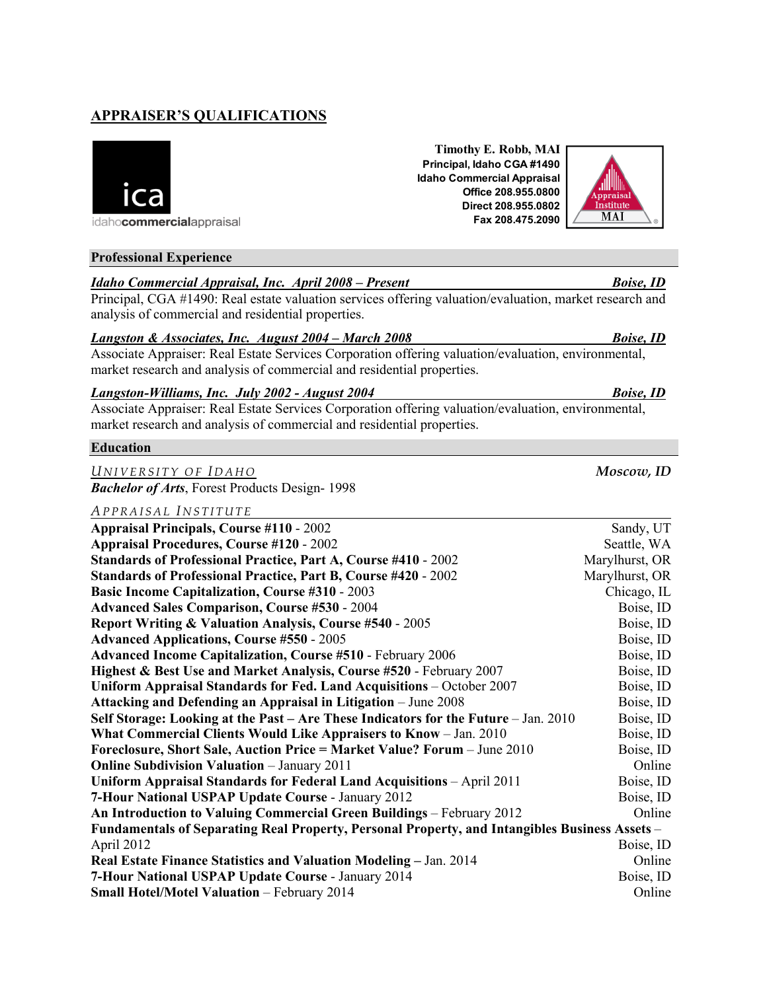# **APPRAISER'S QUALIFICATIONS**



idahocommercialappraisal

## **Professional Experience**

# *Idaho Commercial Appraisal, Inc. April 2008 – Present Boise, ID*

Principal, CGA #1490: Real estate valuation services offering valuation/evaluation, market research and analysis of commercial and residential properties.

#### *Langston & Associates, Inc. August 2004 – March 2008 Boise, ID*

Associate Appraiser: Real Estate Services Corporation offering valuation/evaluation, environmental, market research and analysis of commercial and residential properties.

## *Langston-Williams, Inc. July 2002 - August 2004 Boise, ID*

Associate Appraiser: Real Estate Services Corporation offering valuation/evaluation, environmental, market research and analysis of commercial and residential properties.

#### **Education**

*UNIVERSITY OF I DAHO Moscow, ID Bachelor of Arts*, Forest Products Design- 1998

#### *APPRAISAL I NSTITUTE*

| <b>Appraisal Principals, Course #110 - 2002</b>                                                | Sandy, UT      |
|------------------------------------------------------------------------------------------------|----------------|
| <b>Appraisal Procedures, Course #120 - 2002</b>                                                | Seattle, WA    |
| <b>Standards of Professional Practice, Part A, Course #410 - 2002</b>                          | Marylhurst, OR |
| Standards of Professional Practice, Part B, Course #420 - 2002                                 | Marylhurst, OR |
| <b>Basic Income Capitalization, Course #310 - 2003</b>                                         | Chicago, IL    |
| <b>Advanced Sales Comparison, Course #530 - 2004</b>                                           | Boise, ID      |
| Report Writing & Valuation Analysis, Course #540 - 2005                                        | Boise, ID      |
| <b>Advanced Applications, Course #550 - 2005</b>                                               | Boise, ID      |
| <b>Advanced Income Capitalization, Course #510 - February 2006</b>                             | Boise, ID      |
| Highest & Best Use and Market Analysis, Course #520 - February 2007                            | Boise, ID      |
| Uniform Appraisal Standards for Fed. Land Acquisitions – October 2007                          | Boise, ID      |
| Attacking and Defending an Appraisal in Litigation - June 2008                                 | Boise, ID      |
| Self Storage: Looking at the Past – Are These Indicators for the Future – Jan. 2010            | Boise, ID      |
| What Commercial Clients Would Like Appraisers to Know - Jan. 2010                              | Boise, ID      |
| Foreclosure, Short Sale, Auction Price = Market Value? Forum - June 2010                       | Boise, ID      |
| <b>Online Subdivision Valuation</b> - January 2011                                             | Online         |
| Uniform Appraisal Standards for Federal Land Acquisitions - April 2011                         | Boise, ID      |
| 7-Hour National USPAP Update Course - January 2012                                             | Boise, ID      |
| An Introduction to Valuing Commercial Green Buildings - February 2012                          | Online         |
| Fundamentals of Separating Real Property, Personal Property, and Intangibles Business Assets – |                |
| April 2012                                                                                     | Boise, ID      |
| Real Estate Finance Statistics and Valuation Modeling – Jan. 2014                              | Online         |
| 7-Hour National USPAP Update Course - January 2014                                             | Boise, ID      |
| <b>Small Hotel/Motel Valuation - February 2014</b>                                             | Online         |

**Timothy E. Robb, MAI Principal, Idaho CGA #1490 Idaho Commercial Appraisal Office 208.955.0800 Direct 208.955.0802 Fax 208.475.2090**